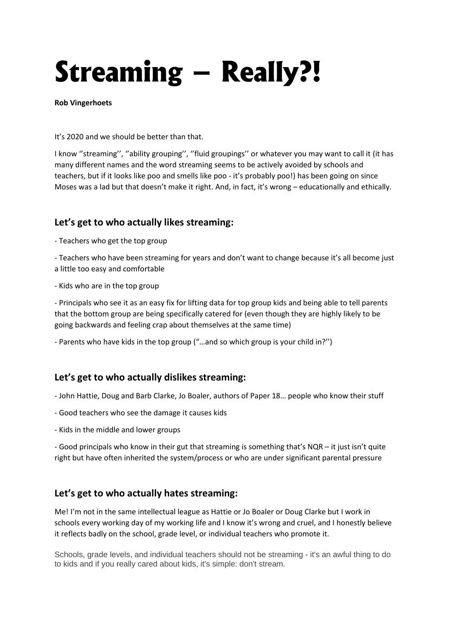# **Streaming – Really?!**

**Rob Vingerhoets**

It's 2020 and we should be better than that.

I know ''streaming'', ''ability grouping'', ''fluid groupings'' or whatever you may want to call it (it has many different names and the word streaming seems to be actively avoided by schools and teachers, but if it looks like poo and smells like poo - it's probably poo!) has been going on since Moses was a lad but that doesn't make it right. And, in fact, it's wrong – educationally and ethically.

# **Let's get to who actually likes streaming:**

- Teachers who get the top group

- Teachers who have been streaming for years and don't want to change because it's all become just a little too easy and comfortable

- Kids who are in the top group

- Principals who see it as an easy fix for lifting data for top group kids and being able to tell parents that the bottom group are being specifically catered for (even though they are highly likely to be going backwards and feeling crap about themselves at the same time)

- Parents who have kids in the top group ("…and so which group is your child in?'')

# **Let's get to who actually dislikes streaming:**

- John Hattie, Doug and Barb Clarke, Jo Boaler, authors of Paper 18… people who know their stuff

- Good teachers who see the damage it causes kids
- Kids in the middle and lower groups

- Good principals who know in their gut that streaming is something that's NQR – it just isn't quite right but have often inherited the system/process or who are under significant parental pressure

## **Let's get to who actually hates streaming:**

Me! I'm not in the same intellectual league as Hattie or Jo Boaler or Doug Clarke but I work in schools every working day of my working life and I know it's wrong and cruel, and I honestly believe it reflects badly on the school, grade level, or individual teachers who promote it.

Schools, grade levels, and individual teachers should not be streaming - it's an awful thing to do to kids and if you really cared about kids, it's simple: don't stream.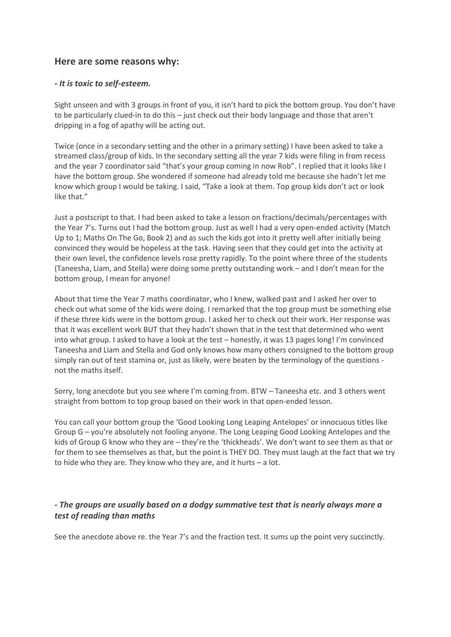## **Here are some reasons why:**

#### *- It is toxic to self-esteem.*

Sight unseen and with 3 groups in front of you, it isn't hard to pick the bottom group. You don't have to be particularly clued-in to do this – just check out their body language and those that aren't dripping in a fog of apathy will be acting out.

Twice (once in a secondary setting and the other in a primary setting) I have been asked to take a streamed class/group of kids. In the secondary setting all the year 7 kids were filing in from recess and the year 7 coordinator said "that's your group coming in now Rob". I replied that it looks like I have the bottom group. She wondered if someone had already told me because she hadn't let me know which group I would be taking. I said, "Take a look at them. Top group kids don't act or look like that."

Just a postscript to that. I had been asked to take a lesson on fractions/decimals/percentages with the Year 7's. Turns out I had the bottom group. Just as well I had a very open-ended activity (Match Up to 1; Maths On The Go, Book 2) and as such the kids got into it pretty well after initially being convinced they would be hopeless at the task. Having seen that they could get into the activity at their own level, the confidence levels rose pretty rapidly. To the point where three of the students (Taneesha, Liam, and Stella) were doing some pretty outstanding work – and I don't mean for the bottom group, I mean for anyone!

About that time the Year 7 maths coordinator, who I knew, walked past and I asked her over to check out what some of the kids were doing. I remarked that the top group must be something else if these three kids were in the bottom group. I asked her to check out their work. Her response was that it was excellent work BUT that they hadn't shown that in the test that determined who went into what group. I asked to have a look at the test – honestly, it was 13 pages long! I'm convinced Taneesha and Liam and Stella and God only knows how many others consigned to the bottom group simply ran out of test stamina or, just as likely, were beaten by the terminology of the questions not the maths itself.

Sorry, long anecdote but you see where I'm coming from. BTW – Taneesha etc. and 3 others went straight from bottom to top group based on their work in that open-ended lesson.

You can call your bottom group the 'Good Looking Long Leaping Antelopes' or innocuous titles like Group G – you're absolutely not fooling anyone. The Long Leaping Good Looking Antelopes and the kids of Group G know who they are – they're the 'thickheads'. We don't want to see them as that or for them to see themselves as that, but the point is THEY DO. They must laugh at the fact that we try to hide who they are. They know who they are, and it hurts – a lot.

#### *- The groups are usually based on a dodgy summative test that is nearly always more a test of reading than maths*

See the anecdote above re. the Year 7's and the fraction test. It sums up the point very succinctly.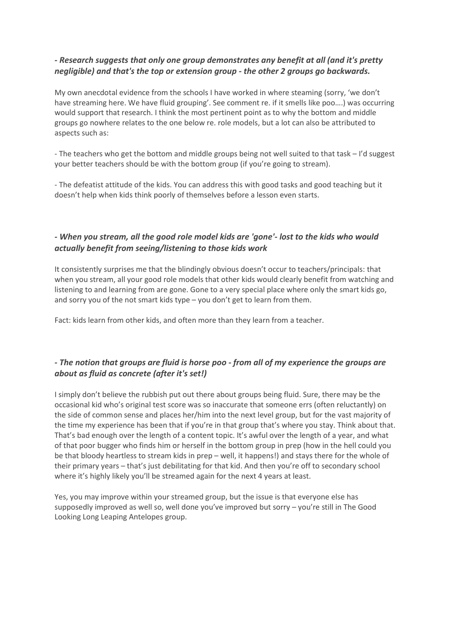#### *- Research suggests that only one group demonstrates any benefit at all (and it's pretty negligible) and that's the top or extension group - the other 2 groups go backwards.*

My own anecdotal evidence from the schools I have worked in where steaming (sorry, 'we don't have streaming here. We have fluid grouping'. See comment re. if it smells like poo….) was occurring would support that research. I think the most pertinent point as to why the bottom and middle groups go nowhere relates to the one below re. role models, but a lot can also be attributed to aspects such as:

- The teachers who get the bottom and middle groups being not well suited to that task – I'd suggest your better teachers should be with the bottom group (if you're going to stream).

- The defeatist attitude of the kids. You can address this with good tasks and good teaching but it doesn't help when kids think poorly of themselves before a lesson even starts.

#### *- When you stream, all the good role model kids are 'gone'- lost to the kids who would actually benefit from seeing/listening to those kids work*

It consistently surprises me that the blindingly obvious doesn't occur to teachers/principals: that when you stream, all your good role models that other kids would clearly benefit from watching and listening to and learning from are gone. Gone to a very special place where only the smart kids go, and sorry you of the not smart kids type – you don't get to learn from them.

Fact: kids learn from other kids, and often more than they learn from a teacher.

### *- The notion that groups are fluid is horse poo - from all of my experience the groups are about as fluid as concrete (after it's set!)*

I simply don't believe the rubbish put out there about groups being fluid. Sure, there may be the occasional kid who's original test score was so inaccurate that someone errs (often reluctantly) on the side of common sense and places her/him into the next level group, but for the vast majority of the time my experience has been that if you're in that group that's where you stay. Think about that. That's bad enough over the length of a content topic. It's awful over the length of a year, and what of that poor bugger who finds him or herself in the bottom group in prep (how in the hell could you be that bloody heartless to stream kids in prep – well, it happens!) and stays there for the whole of their primary years – that's just debilitating for that kid. And then you're off to secondary school where it's highly likely you'll be streamed again for the next 4 years at least.

Yes, you may improve within your streamed group, but the issue is that everyone else has supposedly improved as well so, well done you've improved but sorry – you're still in The Good Looking Long Leaping Antelopes group.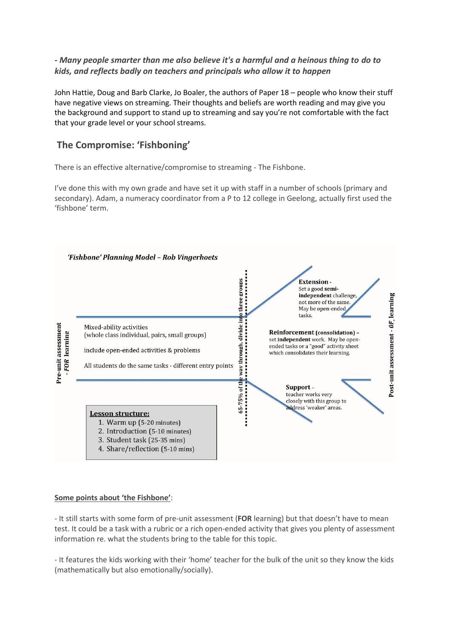#### *- Many people smarter than me also believe it's a harmful and a heinous thing to do to kids, and reflects badly on teachers and principals who allow it to happen*

John Hattie, Doug and Barb Clarke, Jo Boaler, the authors of Paper 18 – people who know their stuff have negative views on streaming. Their thoughts and beliefs are worth reading and may give you the background and support to stand up to streaming and say you're not comfortable with the fact that your grade level or your school streams.

## **The Compromise: 'Fishboning'**

There is an effective alternative/compromise to streaming - The Fishbone.

I've done this with my own grade and have set it up with staff in a number of schools (primary and secondary). Adam, a numeracy coordinator from a P to 12 college in Geelong, actually first used the 'fishbone' term.



#### **Some points about 'the Fishbone'**:

- It still starts with some form of pre-unit assessment (**FOR** learning) but that doesn't have to mean test. It could be a task with a rubric or a rich open-ended activity that gives you plenty of assessment information re. what the students bring to the table for this topic.

- It features the kids working with their 'home' teacher for the bulk of the unit so they know the kids (mathematically but also emotionally/socially).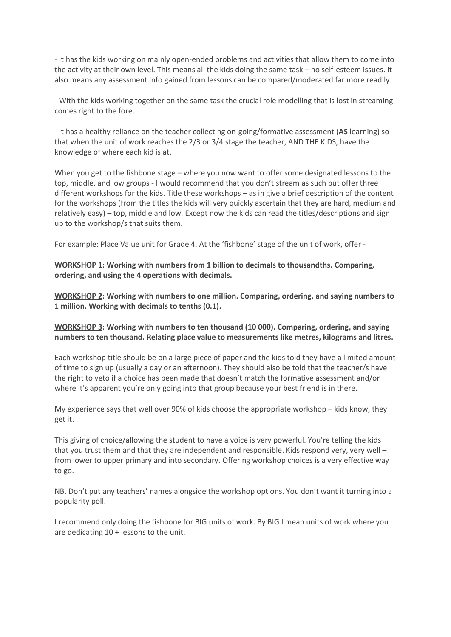- It has the kids working on mainly open-ended problems and activities that allow them to come into the activity at their own level. This means all the kids doing the same task – no self-esteem issues. It also means any assessment info gained from lessons can be compared/moderated far more readily.

- With the kids working together on the same task the crucial role modelling that is lost in streaming comes right to the fore.

- It has a healthy reliance on the teacher collecting on-going/formative assessment (**AS** learning) so that when the unit of work reaches the 2/3 or 3/4 stage the teacher, AND THE KIDS, have the knowledge of where each kid is at.

When you get to the fishbone stage – where you now want to offer some designated lessons to the top, middle, and low groups - I would recommend that you don't stream as such but offer three different workshops for the kids. Title these workshops – as in give a brief description of the content for the workshops (from the titles the kids will very quickly ascertain that they are hard, medium and relatively easy) – top, middle and low. Except now the kids can read the titles/descriptions and sign up to the workshop/s that suits them.

For example: Place Value unit for Grade 4. At the 'fishbone' stage of the unit of work, offer -

**WORKSHOP 1: Working with numbers from 1 billion to decimals to thousandths. Comparing, ordering, and using the 4 operations with decimals.**

**WORKSHOP 2: Working with numbers to one million. Comparing, ordering, and saying numbers to 1 million. Working with decimals to tenths (0.1).**

**WORKSHOP 3: Working with numbers to ten thousand (10 000). Comparing, ordering, and saying numbers to ten thousand. Relating place value to measurements like metres, kilograms and litres.**

Each workshop title should be on a large piece of paper and the kids told they have a limited amount of time to sign up (usually a day or an afternoon). They should also be told that the teacher/s have the right to veto if a choice has been made that doesn't match the formative assessment and/or where it's apparent you're only going into that group because your best friend is in there.

My experience says that well over 90% of kids choose the appropriate workshop – kids know, they get it.

This giving of choice/allowing the student to have a voice is very powerful. You're telling the kids that you trust them and that they are independent and responsible. Kids respond very, very well – from lower to upper primary and into secondary. Offering workshop choices is a very effective way to go.

NB. Don't put any teachers' names alongside the workshop options. You don't want it turning into a popularity poll.

I recommend only doing the fishbone for BIG units of work. By BIG I mean units of work where you are dedicating 10 + lessons to the unit.